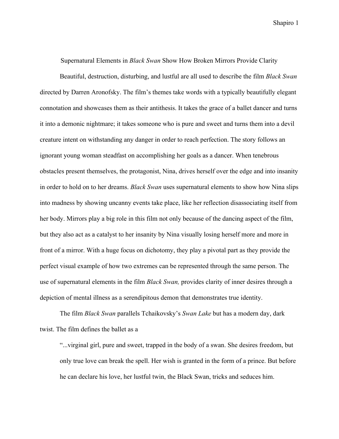Supernatural Elements in *Black Swan* Show How Broken Mirrors Provide Clarity

Beautiful, destruction, disturbing, and lustful are all used to describe the film *Black Swan* directed by Darren Aronofsky. The film's themes take words with a typically beautifully elegant connotation and showcases them as their antithesis. It takes the grace of a ballet dancer and turns it into a demonic nightmare; it takes someone who is pure and sweet and turns them into a devil creature intent on withstanding any danger in order to reach perfection. The story follows an ignorant young woman steadfast on accomplishing her goals as a dancer. When tenebrous obstacles present themselves, the protagonist, Nina, drives herself over the edge and into insanity in order to hold on to her dreams. *Black Swan* uses supernatural elements to show how Nina slips into madness by showing uncanny events take place, like her reflection disassociating itself from her body. Mirrors play a big role in this film not only because of the dancing aspect of the film, but they also act as a catalyst to her insanity by Nina visually losing herself more and more in front of a mirror. With a huge focus on dichotomy, they play a pivotal part as they provide the perfect visual example of how two extremes can be represented through the same person. The use of supernatural elements in the film *Black Swan,* provides clarity of inner desires through a depiction of mental illness as a serendipitous demon that demonstrates true identity.

The film *Black Swan* parallels Tchaikovsky's *Swan Lake* but has a modern day, dark twist. The film defines the ballet as a

"...virginal girl, pure and sweet, trapped in the body of a swan. She desires freedom, but only true love can break the spell. Her wish is granted in the form of a prince. But before he can declare his love, her lustful twin, the Black Swan, tricks and seduces him.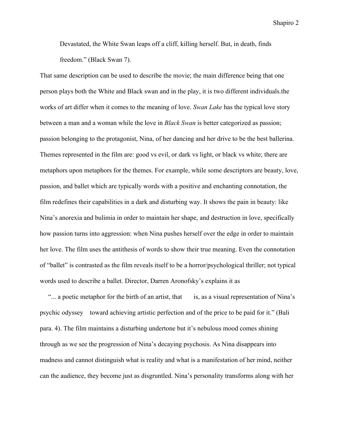Devastated, the White Swan leaps off a cliff, killing herself. But, in death, finds freedom." (Black Swan 7).

That same description can be used to describe the movie; the main difference being that one person plays both the White and Black swan and in the play, it is two different individuals.the works of art differ when it comes to the meaning of love. *Swan Lake* has the typical love story between a man and a woman while the love in *Black Swan* is better categorized as passion; passion belonging to the protagonist, Nina, of her dancing and her drive to be the best ballerina. Themes represented in the film are: good vs evil, or dark vs light, or black vs white; there are metaphors upon metaphors for the themes. For example, while some descriptors are beauty, love, passion, and ballet which are typically words with a positive and enchanting connotation, the film redefines their capabilities in a dark and disturbing way. It shows the pain in beauty: like Nina's anorexia and bulimia in order to maintain her shape, and destruction in love, specifically how passion turns into aggression: when Nina pushes herself over the edge in order to maintain her love. The film uses the antithesis of words to show their true meaning. Even the connotation of "ballet" is contrasted as the film reveals itself to be a horror/psychological thriller; not typical words used to describe a ballet. Director, Darren Aronofsky's explains it as

"... a poetic metaphor for the birth of an artist, that is, as a visual representation of Nina's psychic odyssey toward achieving artistic perfection and of the price to be paid for it." (Bali para. 4). The film maintains a disturbing undertone but it's nebulous mood comes shining through as we see the progression of Nina's decaying psychosis. As Nina disappears into madness and cannot distinguish what is reality and what is a manifestation of her mind, neither can the audience, they become just as disgruntled. Nina's personality transforms along with her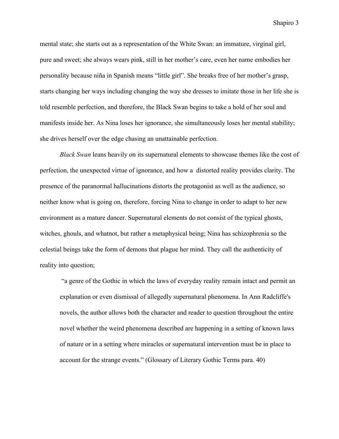mental state; she starts out as a representation of the White Swan: an immature, virginal girl, pure and sweet; she always wears pink, still in her mother's care, even her name embodies her personality because niña in Spanish means "little girl". She breaks free of her mother's grasp, starts changing her ways including changing the way she dresses to imitate those in her life she is told resemble perfection, and therefore, the Black Swan begins to take a hold of her soul and manifests inside her. As Nina loses her ignorance, she simultaneously loses her mental stability; she drives herself over the edge chasing an unattainable perfection.

*Black Swan* leans heavily on its supernatural elements to showcase themes like the cost of perfection, the unexpected virtue of ignorance, and how a distorted reality provides clarity. The presence of the paranormal hallucinations distorts the protagonist as well as the audience, so neither know what is going on, therefore, forcing Nina to change in order to adapt to her new environment as a mature dancer. Supernatural elements do not consist of the typical ghosts, witches, ghouls, and whatnot, but rather a metaphysical being; Nina has schizophrenia so the celestial beings take the form of demons that plague her mind. They call the authenticity of reality into question;

 "a genre of the Gothic in which the laws of everyday reality remain intact and permit an explanation or even dismissal of allegedly supernatural phenomena. In Ann Radcliffe's novels, the author allows both the character and reader to question throughout the entire novel whether the weird phenomena described are happening in a setting of known laws of nature or in a setting where miracles or supernatural intervention must be in place to account for the strange events." (Glossary of Literary Gothic Terms para. 40)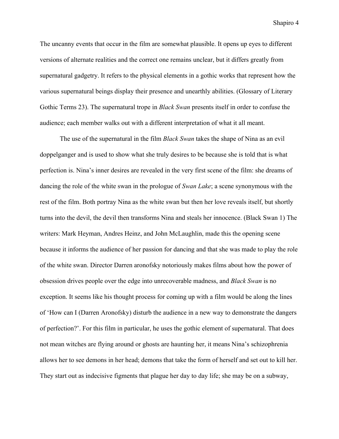The uncanny events that occur in the film are somewhat plausible. It opens up eyes to different versions of alternate realities and the correct one remains unclear, but it differs greatly from supernatural gadgetry. It refers to the physical elements in a gothic works that represent how the various supernatural beings display their presence and unearthly abilities. (Glossary of Literary Gothic Terms 23). The supernatural trope in *Black Swan* presents itself in order to confuse the audience; each member walks out with a different interpretation of what it all meant.

The use of the supernatural in the film *Black Swan* takes the shape of Nina as an evil doppelganger and is used to show what she truly desires to be because she is told that is what perfection is. Nina's inner desires are revealed in the very first scene of the film: she dreams of dancing the role of the white swan in the prologue of *Swan Lake*; a scene synonymous with the rest of the film. Both portray Nina as the white swan but then her love reveals itself, but shortly turns into the devil, the devil then transforms Nina and steals her innocence. (Black Swan 1) The writers: Mark Heyman, Andres Heinz, and John McLaughlin, made this the opening scene because it informs the audience of her passion for dancing and that she was made to play the role of the white swan. Director Darren aronofsky notoriously makes films about how the power of obsession drives people over the edge into unrecoverable madness, and *Black Swan* is no exception. It seems like his thought process for coming up with a film would be along the lines of 'How can I (Darren Aronofsky) disturb the audience in a new way to demonstrate the dangers of perfection?'. For this film in particular, he uses the gothic element of supernatural. That does not mean witches are flying around or ghosts are haunting her, it means Nina's schizophrenia allows her to see demons in her head; demons that take the form of herself and set out to kill her. They start out as indecisive figments that plague her day to day life; she may be on a subway,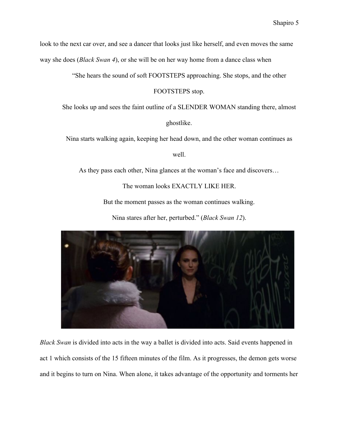look to the next car over, and see a dancer that looks just like herself, and even moves the same way she does (*Black Swan 4*), or she will be on her way home from a dance class when

"She hears the sound of soft FOOTSTEPS approaching. She stops, and the other

FOOTSTEPS stop.

She looks up and sees the faint outline of a SLENDER WOMAN standing there, almost

ghostlike.

Nina starts walking again, keeping her head down, and the other woman continues as

well.

As they pass each other, Nina glances at the woman's face and discovers…

The woman looks EXACTLY LIKE HER.

But the moment passes as the woman continues walking.

Nina stares after her, perturbed." (*Black Swan 12*).



*Black Swan* is divided into acts in the way a ballet is divided into acts. Said events happened in act 1 which consists of the 15 fifteen minutes of the film. As it progresses, the demon gets worse and it begins to turn on Nina. When alone, it takes advantage of the opportunity and torments her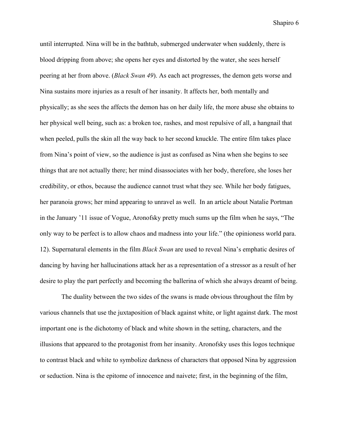until interrupted. Nina will be in the bathtub, submerged underwater when suddenly, there is blood dripping from above; she opens her eyes and distorted by the water, she sees herself peering at her from above. (*Black Swan 49*). As each act progresses, the demon gets worse and Nina sustains more injuries as a result of her insanity. It affects her, both mentally and physically; as she sees the affects the demon has on her daily life, the more abuse she obtains to her physical well being, such as: a broken toe, rashes, and most repulsive of all, a hangnail that when peeled, pulls the skin all the way back to her second knuckle. The entire film takes place from Nina's point of view, so the audience is just as confused as Nina when she begins to see things that are not actually there; her mind disassociates with her body, therefore, she loses her credibility, or ethos, because the audience cannot trust what they see. While her body fatigues, her paranoia grows; her mind appearing to unravel as well. In an article about Natalie Portman in the January '11 issue of Vogue, [Aronofsky pretty much sums up the film when he says,](http://www.vogue.com/magazine/article/natalie-portman-january-2011-cover/) "The only way to be perfect is to allow chaos and madness into your life." (the opinioness world para. 12). Supernatural elements in the film *Black Swan* are used to reveal Nina's emphatic desires of dancing by having her hallucinations attack her as a representation of a stressor as a result of her desire to play the part perfectly and becoming the ballerina of which she always dreamt of being.

 The duality between the two sides of the swans is made obvious throughout the film by various channels that use the juxtaposition of black against white, or light against dark. The most important one is the dichotomy of black and white shown in the setting, characters, and the illusions that appeared to the protagonist from her insanity. Aronofsky uses this logos technique to contrast black and white to symbolize darkness of characters that opposed Nina by aggression or seduction. Nina is the epitome of innocence and naivete; first, in the beginning of the film,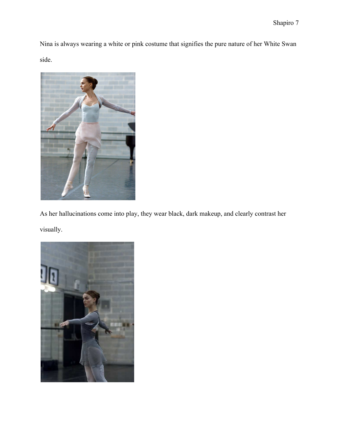Nina is always wearing a white or pink costume that signifies the pure nature of her White Swan side.



As her hallucinations come into play, they wear black, dark makeup, and clearly contrast her visually.

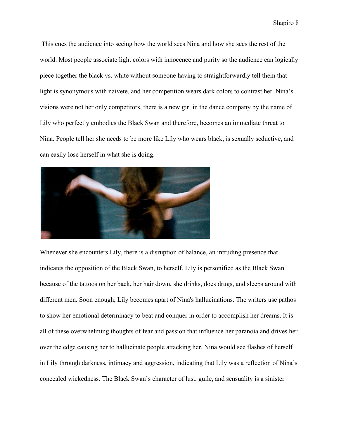This cues the audience into seeing how the world sees Nina and how she sees the rest of the world. Most people associate light colors with innocence and purity so the audience can logically piece together the black vs. white without someone having to straightforwardly tell them that light is synonymous with naivete, and her competition wears dark colors to contrast her. Nina's visions were not her only competitors, there is a new girl in the dance company by the name of Lily who perfectly embodies the Black Swan and therefore, becomes an immediate threat to Nina. People tell her she needs to be more like Lily who wears black, is sexually seductive, and can easily lose herself in what she is doing.



Whenever she encounters Lily, there is a disruption of balance, an intruding presence that indicates the opposition of the Black Swan, to herself. Lily is personified as the Black Swan because of the tattoos on her back, her hair down, she drinks, does drugs, and sleeps around with different men. Soon enough, Lily becomes apart of Nina's hallucinations. The writers use pathos to show her emotional determinacy to beat and conquer in order to accomplish her dreams. It is all of these overwhelming thoughts of fear and passion that influence her paranoia and drives her over the edge causing her to hallucinate people attacking her. Nina would see flashes of herself in Lily through darkness, intimacy and aggression, indicating that Lily was a reflection of Nina's concealed wickedness. The Black Swan's character of lust, guile, and sensuality is a sinister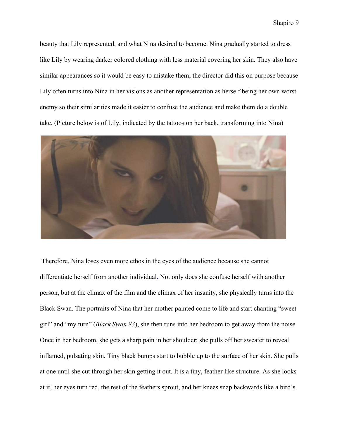beauty that Lily represented, and what Nina desired to become. Nina gradually started to dress like Lily by wearing darker colored clothing with less material covering her skin. They also have similar appearances so it would be easy to mistake them; the director did this on purpose because Lily often turns into Nina in her visions as another representation as herself being her own worst enemy so their similarities made it easier to confuse the audience and make them do a double take. (Picture below is of Lily, indicated by the tattoos on her back, transforming into Nina)



 Therefore, Nina loses even more ethos in the eyes of the audience because she cannot differentiate herself from another individual. Not only does she confuse herself with another person, but at the climax of the film and the climax of her insanity, she physically turns into the Black Swan. The portraits of Nina that her mother painted come to life and start chanting "sweet girl" and "my turn" (*Black Swan 83*), she then runs into her bedroom to get away from the noise. Once in her bedroom, she gets a sharp pain in her shoulder; she pulls off her sweater to reveal inflamed, pulsating skin. Tiny black bumps start to bubble up to the surface of her skin. She pulls at one until she cut through her skin getting it out. It is a tiny, feather like structure. As she looks at it, her eyes turn red, the rest of the feathers sprout, and her knees snap backwards like a bird's.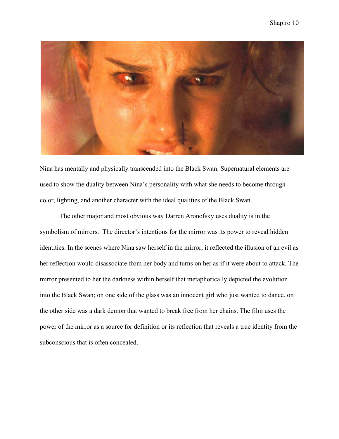

Nina has mentally and physically transcended into the Black Swan. Supernatural elements are used to show the duality between Nina's personality with what she needs to become through color, lighting, and another character with the ideal qualities of the Black Swan.

The other major and most obvious way Darren Aronofsky uses duality is in the symbolism of mirrors. The director's intentions for the mirror was its power to reveal hidden identities. In the scenes where Nina saw herself in the mirror, it reflected the illusion of an evil as her reflection would disassociate from her body and turns on her as if it were about to attack. The mirror presented to her the darkness within herself that metaphorically depicted the evolution into the Black Swan; on one side of the glass was an innocent girl who just wanted to dance, on the other side was a dark demon that wanted to break free from her chains. The film uses the power of the mirror as a source for definition or its reflection that reveals a true identity from the subconscious that is often concealed.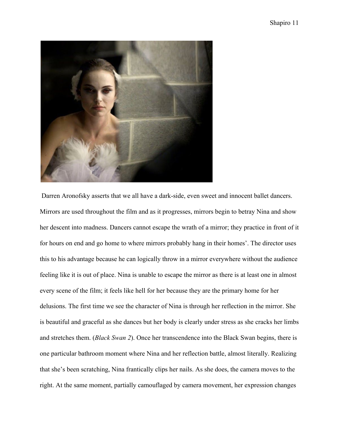

 Darren Aronofsky asserts that we all have a dark-side, even sweet and innocent ballet dancers. Mirrors are used throughout the film and as it progresses, mirrors begin to betray Nina and show her descent into madness. Dancers cannot escape the wrath of a mirror; they practice in front of it for hours on end and go home to where mirrors probably hang in their homes'. The director uses this to his advantage because he can logically throw in a mirror everywhere without the audience feeling like it is out of place. Nina is unable to escape the mirror as there is at least one in almost every scene of the film; it feels like hell for her because they are the primary home for her delusions. The first time we see the character of Nina is through her reflection in the mirror. She is beautiful and graceful as she dances but her body is clearly under stress as she cracks her limbs and stretches them. (*Black Swan 2*). Once her transcendence into the Black Swan begins, there is one particular bathroom moment where Nina and her reflection battle, almost literally. Realizing that she's been scratching, Nina frantically clips her nails. As she does, the camera moves to the right. At the same moment, partially camouflaged by camera movement, her expression changes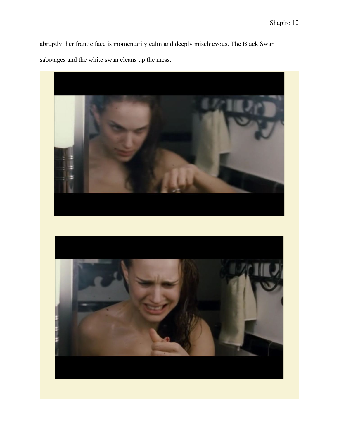abruptly: her frantic face is momentarily calm and deeply mischievous. The Black Swan sabotages and the white swan cleans up the mess.



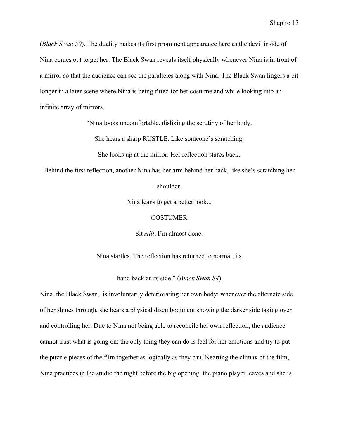(*Black Swan 50*). The duality makes its first prominent appearance here as the devil inside of Nina comes out to get her. The Black Swan reveals itself physically whenever Nina is in front of a mirror so that the audience can see the paralleles along with Nina. The Black Swan lingers a bit longer in a later scene where Nina is being fitted for her costume and while looking into an infinite array of mirrors,

"Nina looks uncomfortable, disliking the scrutiny of her body.

She hears a sharp RUSTLE. Like someone's scratching.

She looks up at the mirror. Her reflection stares back.

Behind the first reflection, another Nina has her arm behind her back, like she's scratching her

shoulder.

Nina leans to get a better look...

**COSTUMER** 

Sit *still*, I'm almost done.

Nina startles. The reflection has returned to normal, its

hand back at its side." (*Black Swan 84*)

Nina, the Black Swan, is involuntarily deteriorating her own body; whenever the alternate side of her shines through, she bears a physical disembodiment showing the darker side taking over and controlling her. Due to Nina not being able to reconcile her own reflection, the audience cannot trust what is going on; the only thing they can do is feel for her emotions and try to put the puzzle pieces of the film together as logically as they can. Nearting the climax of the film, Nina practices in the studio the night before the big opening; the piano player leaves and she is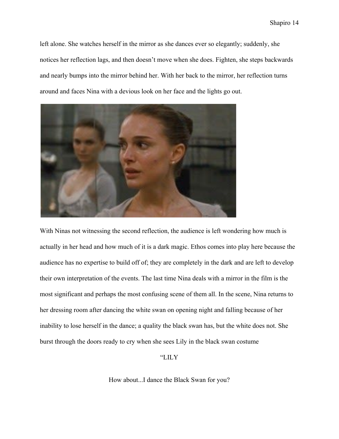left alone. She watches herself in the mirror as she dances ever so elegantly; suddenly, she notices her reflection lags, and then doesn't move when she does. Fighten, she steps backwards and nearly bumps into the mirror behind her. With her back to the mirror, her reflection turns around and faces Nina with a devious look on her face and the lights go out.



With Ninas not witnessing the second reflection, the audience is left wondering how much is actually in her head and how much of it is a dark magic. Ethos comes into play here because the audience has no expertise to build off of; they are completely in the dark and are left to develop their own interpretation of the events. The last time Nina deals with a mirror in the film is the most significant and perhaps the most confusing scene of them all. In the scene, Nina returns to her dressing room after dancing the white swan on opening night and falling because of her inability to lose herself in the dance; a quality the black swan has, but the white does not. She burst through the doors ready to cry when she sees Lily in the black swan costume

"LILY

How about...I dance the Black Swan for you?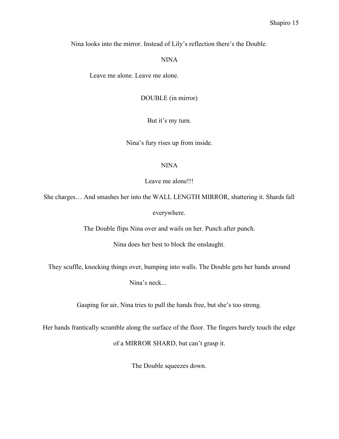Nina looks into the mirror. Instead of Lily's reflection there's the Double.

## NINA

Leave me alone. Leave me alone.

DOUBLE (in mirror)

But it's my turn.

Nina's fury rises up from inside.

## NINA

Leave me alone!!!

She charges… And smashes her into the WALL LENGTH MIRROR, shattering it. Shards fall everywhere.

The Double flips Nina over and wails on her. Punch after punch.

Nina does her best to block the onslaught.

They scuffle, knocking things over, bumping into walls. The Double gets her hands around

Nina's neck...

Gasping for air, Nina tries to pull the hands free, but she's too strong.

Her hands frantically scramble along the surface of the floor. The fingers barely touch the edge

of a MIRROR SHARD, but can't grasp it.

The Double squeezes down.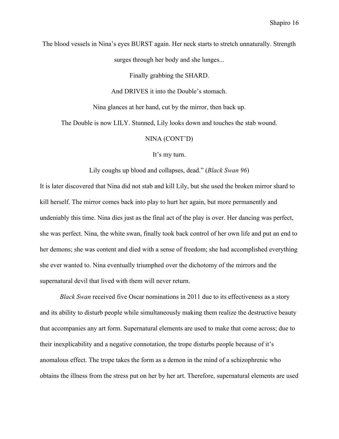The blood vessels in Nina's eyes BURST again. Her neck starts to stretch unnaturally. Strength

surges through her body and she lunges...

Finally grabbing the SHARD.

And DRIVES it into the Double's stomach.

Nina glances at her hand, cut by the mirror, then back up.

The Double is now LILY. Stunned, Lily looks down and touches the stab wound.

NINA (CONT'D)

It's my turn.

Lily coughs up blood and collapses, dead." (*Black Swan 96*)

It is later discovered that Nina did not stab and kill Lily, but she used the broken mirror shard to kill herself. The mirror comes back into play to hurt her again, but more permanently and undeniably this time. Nina dies just as the final act of the play is over. Her dancing was perfect, she was perfect. Nina, the white swan, finally took back control of her own life and put an end to her demons; she was content and died with a sense of freedom; she had accomplished everything she ever wanted to. Nina eventually triumphed over the dichotomy of the mirrors and the supernatural devil that lived with them will never return.

*Black Swan* received five Oscar nominations in 2011 due to its effectiveness as a story and its ability to disturb people while simultaneously making them realize the destructive beauty that accompanies any art form. Supernatural elements are used to make that come across; due to their inexplicability and a negative connotation, the trope disturbs people because of it's anomalous effect. The trope takes the form as a demon in the mind of a schizophrenic who obtains the illness from the stress put on her by her art. Therefore, supernatural elements are used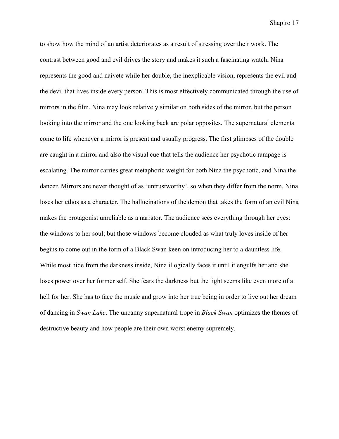to show how the mind of an artist deteriorates as a result of stressing over their work. The contrast between good and evil drives the story and makes it such a fascinating watch; Nina represents the good and naivete while her double, the inexplicable vision, represents the evil and the devil that lives inside every person. This is most effectively communicated through the use of mirrors in the film. Nina may look relatively similar on both sides of the mirror, but the person looking into the mirror and the one looking back are polar opposites. The supernatural elements come to life whenever a mirror is present and usually progress. The first glimpses of the double are caught in a mirror and also the visual cue that tells the audience her psychotic rampage is escalating. The mirror carries great metaphoric weight for both Nina the psychotic, and Nina the dancer. Mirrors are never thought of as 'untrustworthy', so when they differ from the norm, Nina loses her ethos as a character. The hallucinations of the demon that takes the form of an evil Nina makes the protagonist unreliable as a narrator. The audience sees everything through her eyes: the windows to her soul; but those windows become clouded as what truly loves inside of her begins to come out in the form of a Black Swan keen on introducing her to a dauntless life. While most hide from the darkness inside, Nina illogically faces it until it engulfs her and she loses power over her former self. She fears the darkness but the light seems like even more of a hell for her. She has to face the music and grow into her true being in order to live out her dream of dancing in *Swan Lake*. The uncanny supernatural trope in *Black Swan* optimizes the themes of destructive beauty and how people are their own worst enemy supremely.